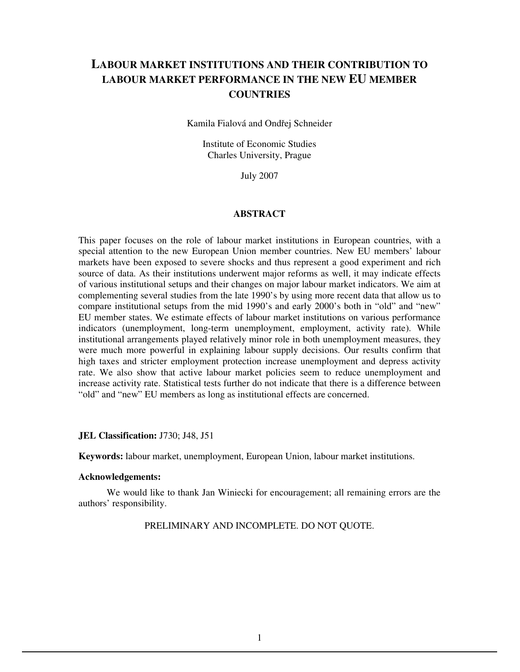# **LABOUR MARKET INSTITUTIONS AND THEIR CONTRIBUTION TO LABOUR MARKET PERFORMANCE IN THE NEW EU MEMBER COUNTRIES**

Kamila Fialová and Ondřej Schneider

Institute of Economic Studies Charles University, Prague

July 2007

#### **ABSTRACT**

This paper focuses on the role of labour market institutions in European countries, with a special attention to the new European Union member countries. New EU members' labour markets have been exposed to severe shocks and thus represent a good experiment and rich source of data. As their institutions underwent major reforms as well, it may indicate effects of various institutional setups and their changes on major labour market indicators. We aim at complementing several studies from the late 1990's by using more recent data that allow us to compare institutional setups from the mid 1990's and early 2000's both in "old" and "new" EU member states. We estimate effects of labour market institutions on various performance indicators (unemployment, long-term unemployment, employment, activity rate). While institutional arrangements played relatively minor role in both unemployment measures, they were much more powerful in explaining labour supply decisions. Our results confirm that high taxes and stricter employment protection increase unemployment and depress activity rate. We also show that active labour market policies seem to reduce unemployment and increase activity rate. Statistical tests further do not indicate that there is a difference between "old" and "new" EU members as long as institutional effects are concerned.

#### **JEL Classification:** J730; J48, J51

**Keywords:** labour market, unemployment, European Union, labour market institutions.

#### **Acknowledgements:**

We would like to thank Jan Winiecki for encouragement; all remaining errors are the authors' responsibility.

PRELIMINARY AND INCOMPLETE. DO NOT QUOTE.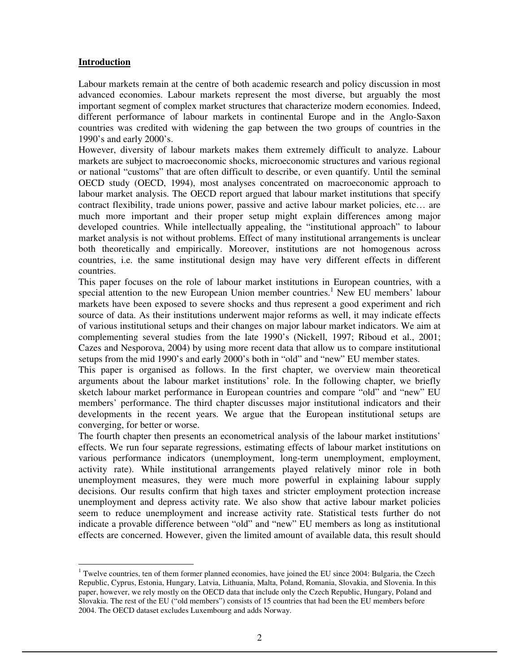# **Introduction**

Labour markets remain at the centre of both academic research and policy discussion in most advanced economies. Labour markets represent the most diverse, but arguably the most important segment of complex market structures that characterize modern economies. Indeed, different performance of labour markets in continental Europe and in the Anglo-Saxon countries was credited with widening the gap between the two groups of countries in the 1990's and early 2000's.

However, diversity of labour markets makes them extremely difficult to analyze. Labour markets are subject to macroeconomic shocks, microeconomic structures and various regional or national "customs" that are often difficult to describe, or even quantify. Until the seminal OECD study (OECD, 1994), most analyses concentrated on macroeconomic approach to labour market analysis. The OECD report argued that labour market institutions that specify contract flexibility, trade unions power, passive and active labour market policies, etc… are much more important and their proper setup might explain differences among major developed countries. While intellectually appealing, the "institutional approach" to labour market analysis is not without problems. Effect of many institutional arrangements is unclear both theoretically and empirically. Moreover, institutions are not homogenous across countries, i.e. the same institutional design may have very different effects in different countries.

This paper focuses on the role of labour market institutions in European countries, with a special attention to the new European Union member countries.<sup>1</sup> New EU members' labour markets have been exposed to severe shocks and thus represent a good experiment and rich source of data. As their institutions underwent major reforms as well, it may indicate effects of various institutional setups and their changes on major labour market indicators. We aim at complementing several studies from the late 1990's (Nickell, 1997; Riboud et al., 2001; Cazes and Nesporova, 2004) by using more recent data that allow us to compare institutional setups from the mid 1990's and early 2000's both in "old" and "new" EU member states.

This paper is organised as follows. In the first chapter, we overview main theoretical arguments about the labour market institutions' role. In the following chapter, we briefly sketch labour market performance in European countries and compare "old" and "new" EU members' performance. The third chapter discusses major institutional indicators and their developments in the recent years. We argue that the European institutional setups are converging, for better or worse.

The fourth chapter then presents an econometrical analysis of the labour market institutions' effects. We run four separate regressions, estimating effects of labour market institutions on various performance indicators (unemployment, long-term unemployment, employment, activity rate). While institutional arrangements played relatively minor role in both unemployment measures, they were much more powerful in explaining labour supply decisions. Our results confirm that high taxes and stricter employment protection increase unemployment and depress activity rate. We also show that active labour market policies seem to reduce unemployment and increase activity rate. Statistical tests further do not indicate a provable difference between "old" and "new" EU members as long as institutional effects are concerned. However, given the limited amount of available data, this result should

<sup>-</sup><sup>1</sup> Twelve countries, ten of them former planned economies, have joined the EU since 2004: Bulgaria, the Czech Republic, Cyprus, Estonia, Hungary, Latvia, Lithuania, Malta, Poland, Romania, Slovakia, and Slovenia. In this paper, however, we rely mostly on the OECD data that include only the Czech Republic, Hungary, Poland and Slovakia. The rest of the EU ("old members") consists of 15 countries that had been the EU members before 2004. The OECD dataset excludes Luxembourg and adds Norway.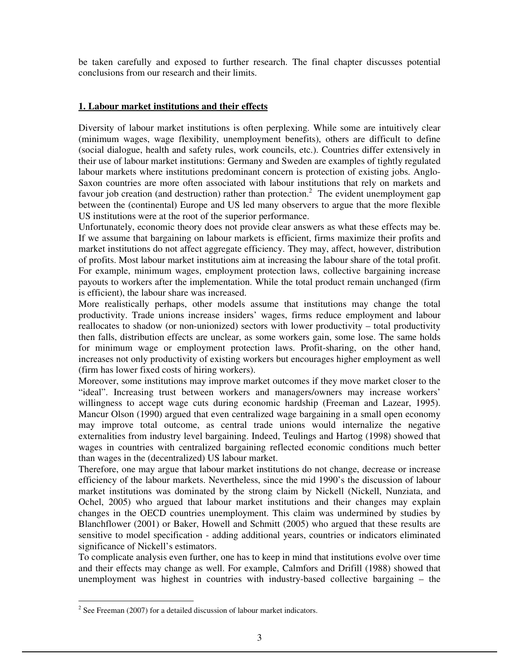be taken carefully and exposed to further research. The final chapter discusses potential conclusions from our research and their limits.

## **1. Labour market institutions and their effects**

Diversity of labour market institutions is often perplexing. While some are intuitively clear (minimum wages, wage flexibility, unemployment benefits), others are difficult to define (social dialogue, health and safety rules, work councils, etc.). Countries differ extensively in their use of labour market institutions: Germany and Sweden are examples of tightly regulated labour markets where institutions predominant concern is protection of existing jobs. Anglo-Saxon countries are more often associated with labour institutions that rely on markets and favour job creation (and destruction) rather than protection.<sup>2</sup> The evident unemployment gap between the (continental) Europe and US led many observers to argue that the more flexible US institutions were at the root of the superior performance.

Unfortunately, economic theory does not provide clear answers as what these effects may be. If we assume that bargaining on labour markets is efficient, firms maximize their profits and market institutions do not affect aggregate efficiency. They may, affect, however, distribution of profits. Most labour market institutions aim at increasing the labour share of the total profit. For example, minimum wages, employment protection laws, collective bargaining increase payouts to workers after the implementation. While the total product remain unchanged (firm is efficient), the labour share was increased.

More realistically perhaps, other models assume that institutions may change the total productivity. Trade unions increase insiders' wages, firms reduce employment and labour reallocates to shadow (or non-unionized) sectors with lower productivity – total productivity then falls, distribution effects are unclear, as some workers gain, some lose. The same holds for minimum wage or employment protection laws. Profit-sharing, on the other hand, increases not only productivity of existing workers but encourages higher employment as well (firm has lower fixed costs of hiring workers).

Moreover, some institutions may improve market outcomes if they move market closer to the "ideal". Increasing trust between workers and managers/owners may increase workers' willingness to accept wage cuts during economic hardship (Freeman and Lazear, 1995). Mancur Olson (1990) argued that even centralized wage bargaining in a small open economy may improve total outcome, as central trade unions would internalize the negative externalities from industry level bargaining. Indeed, Teulings and Hartog (1998) showed that wages in countries with centralized bargaining reflected economic conditions much better than wages in the (decentralized) US labour market.

Therefore, one may argue that labour market institutions do not change, decrease or increase efficiency of the labour markets. Nevertheless, since the mid 1990's the discussion of labour market institutions was dominated by the strong claim by Nickell (Nickell, Nunziata, and Ochel, 2005) who argued that labour market institutions and their changes may explain changes in the OECD countries unemployment. This claim was undermined by studies by Blanchflower (2001) or Baker, Howell and Schmitt (2005) who argued that these results are sensitive to model specification - adding additional years, countries or indicators eliminated significance of Nickell's estimators.

To complicate analysis even further, one has to keep in mind that institutions evolve over time and their effects may change as well. For example, Calmfors and Drifill (1988) showed that unemployment was highest in countries with industry-based collective bargaining – the

<sup>&</sup>lt;sup>2</sup> See Freeman (2007) for a detailed discussion of labour market indicators.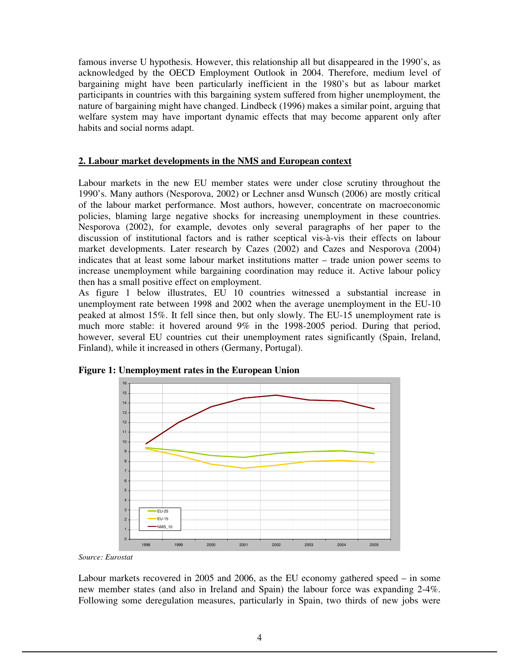famous inverse U hypothesis. However, this relationship all but disappeared in the 1990's, as acknowledged by the OECD Employment Outlook in 2004. Therefore, medium level of bargaining might have been particularly inefficient in the 1980's but as labour market participants in countries with this bargaining system suffered from higher unemployment, the nature of bargaining might have changed. Lindbeck (1996) makes a similar point, arguing that welfare system may have important dynamic effects that may become apparent only after habits and social norms adapt.

# **2. Labour market developments in the NMS and European context**

Labour markets in the new EU member states were under close scrutiny throughout the 1990's. Many authors (Nesporova, 2002) or Lechner ansd Wunsch (2006) are mostly critical of the labour market performance. Most authors, however, concentrate on macroeconomic policies, blaming large negative shocks for increasing unemployment in these countries. Nesporova (2002), for example, devotes only several paragraphs of her paper to the discussion of institutional factors and is rather sceptical vis-à-vis their effects on labour market developments. Later research by Cazes (2002) and Cazes and Nesporova (2004) indicates that at least some labour market institutions matter – trade union power seems to increase unemployment while bargaining coordination may reduce it. Active labour policy then has a small positive effect on employment.

As figure 1 below illustrates, EU 10 countries witnessed a substantial increase in unemployment rate between 1998 and 2002 when the average unemployment in the EU-10 peaked at almost 15%. It fell since then, but only slowly. The EU-15 unemployment rate is much more stable: it hovered around 9% in the 1998-2005 period. During that period, however, several EU countries cut their unemployment rates significantly (Spain, Ireland, Finland), while it increased in others (Germany, Portugal).



**Figure 1: Unemployment rates in the European Union** 

*Source: Eurostat* 

Labour markets recovered in 2005 and 2006, as the EU economy gathered speed – in some new member states (and also in Ireland and Spain) the labour force was expanding 2-4%. Following some deregulation measures, particularly in Spain, two thirds of new jobs were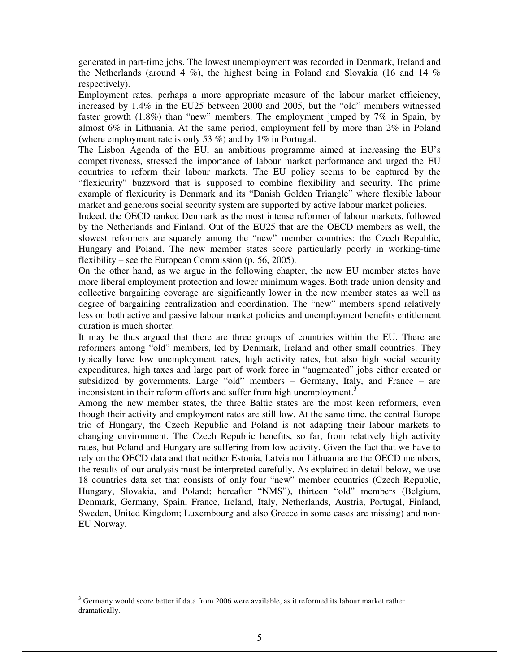generated in part-time jobs. The lowest unemployment was recorded in Denmark, Ireland and the Netherlands (around 4  $\%$ ), the highest being in Poland and Slovakia (16 and 14  $\%$ ) respectively).

Employment rates, perhaps a more appropriate measure of the labour market efficiency, increased by 1.4% in the EU25 between 2000 and 2005, but the "old" members witnessed faster growth (1.8%) than "new" members. The employment jumped by 7% in Spain, by almost 6% in Lithuania. At the same period, employment fell by more than 2% in Poland (where employment rate is only 53 %) and by 1% in Portugal.

The Lisbon Agenda of the EU, an ambitious programme aimed at increasing the EU's competitiveness, stressed the importance of labour market performance and urged the EU countries to reform their labour markets. The EU policy seems to be captured by the "flexicurity" buzzword that is supposed to combine flexibility and security. The prime example of flexicurity is Denmark and its "Danish Golden Triangle" where flexible labour market and generous social security system are supported by active labour market policies.

Indeed, the OECD ranked Denmark as the most intense reformer of labour markets, followed by the Netherlands and Finland. Out of the EU25 that are the OECD members as well, the slowest reformers are squarely among the "new" member countries: the Czech Republic, Hungary and Poland. The new member states score particularly poorly in working-time flexibility – see the European Commission (p. 56, 2005).

On the other hand, as we argue in the following chapter, the new EU member states have more liberal employment protection and lower minimum wages. Both trade union density and collective bargaining coverage are significantly lower in the new member states as well as degree of bargaining centralization and coordination. The "new" members spend relatively less on both active and passive labour market policies and unemployment benefits entitlement duration is much shorter.

It may be thus argued that there are three groups of countries within the EU. There are reformers among "old" members, led by Denmark, Ireland and other small countries. They typically have low unemployment rates, high activity rates, but also high social security expenditures, high taxes and large part of work force in "augmented" jobs either created or subsidized by governments. Large "old" members – Germany, Italy, and France – are inconsistent in their reform efforts and suffer from high unemployment.<sup>3</sup>

Among the new member states, the three Baltic states are the most keen reformers, even though their activity and employment rates are still low. At the same time, the central Europe trio of Hungary, the Czech Republic and Poland is not adapting their labour markets to changing environment. The Czech Republic benefits, so far, from relatively high activity rates, but Poland and Hungary are suffering from low activity. Given the fact that we have to rely on the OECD data and that neither Estonia, Latvia nor Lithuania are the OECD members, the results of our analysis must be interpreted carefully. As explained in detail below, we use 18 countries data set that consists of only four "new" member countries (Czech Republic, Hungary, Slovakia, and Poland; hereafter "NMS"), thirteen "old" members (Belgium, Denmark, Germany, Spain, France, Ireland, Italy, Netherlands, Austria, Portugal, Finland, Sweden, United Kingdom; Luxembourg and also Greece in some cases are missing) and non-EU Norway.

-

 $3$  Germany would score better if data from 2006 were available, as it reformed its labour market rather dramatically.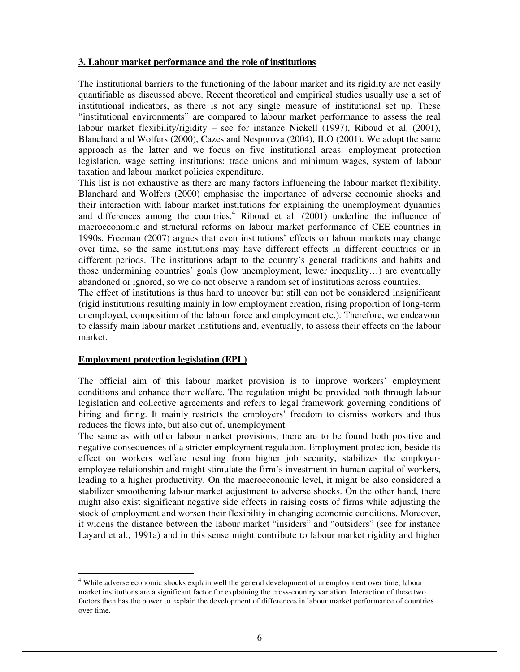## **3. Labour market performance and the role of institutions**

The institutional barriers to the functioning of the labour market and its rigidity are not easily quantifiable as discussed above. Recent theoretical and empirical studies usually use a set of institutional indicators, as there is not any single measure of institutional set up. These "institutional environments" are compared to labour market performance to assess the real labour market flexibility/rigidity – see for instance Nickell (1997), Riboud et al. (2001), Blanchard and Wolfers (2000), Cazes and Nesporova (2004), ILO (2001). We adopt the same approach as the latter and we focus on five institutional areas: employment protection legislation, wage setting institutions: trade unions and minimum wages, system of labour taxation and labour market policies expenditure.

This list is not exhaustive as there are many factors influencing the labour market flexibility. Blanchard and Wolfers (2000) emphasise the importance of adverse economic shocks and their interaction with labour market institutions for explaining the unemployment dynamics and differences among the countries.<sup>4</sup> Riboud et al.  $(2001)$  underline the influence of macroeconomic and structural reforms on labour market performance of CEE countries in 1990s. Freeman (2007) argues that even institutions' effects on labour markets may change over time, so the same institutions may have different effects in different countries or in different periods. The institutions adapt to the country's general traditions and habits and those undermining countries' goals (low unemployment, lower inequality…) are eventually abandoned or ignored, so we do not observe a random set of institutions across countries.

The effect of institutions is thus hard to uncover but still can not be considered insignificant (rigid institutions resulting mainly in low employment creation, rising proportion of long-term unemployed, composition of the labour force and employment etc.). Therefore, we endeavour to classify main labour market institutions and, eventually, to assess their effects on the labour market.

## **Employment protection legislation (EPL)**

-

The official aim of this labour market provision is to improve workers' employment conditions and enhance their welfare. The regulation might be provided both through labour legislation and collective agreements and refers to legal framework governing conditions of hiring and firing. It mainly restricts the employers' freedom to dismiss workers and thus reduces the flows into, but also out of, unemployment.

The same as with other labour market provisions, there are to be found both positive and negative consequences of a stricter employment regulation. Employment protection, beside its effect on workers welfare resulting from higher job security, stabilizes the employeremployee relationship and might stimulate the firm's investment in human capital of workers, leading to a higher productivity. On the macroeconomic level, it might be also considered a stabilizer smoothening labour market adjustment to adverse shocks. On the other hand, there might also exist significant negative side effects in raising costs of firms while adjusting the stock of employment and worsen their flexibility in changing economic conditions. Moreover, it widens the distance between the labour market "insiders" and "outsiders" (see for instance Layard et al., 1991a) and in this sense might contribute to labour market rigidity and higher

<sup>&</sup>lt;sup>4</sup> While adverse economic shocks explain well the general development of unemployment over time, labour market institutions are a significant factor for explaining the cross-country variation. Interaction of these two factors then has the power to explain the development of differences in labour market performance of countries over time.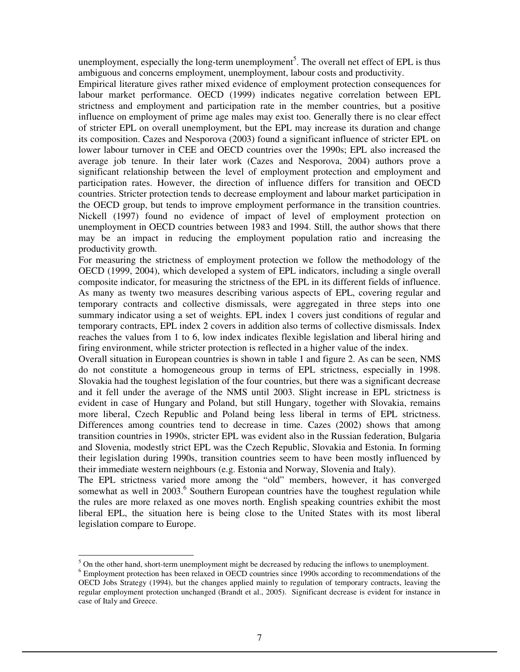unemployment, especially the long-term unemployment<sup>5</sup>. The overall net effect of EPL is thus ambiguous and concerns employment, unemployment, labour costs and productivity.

Empirical literature gives rather mixed evidence of employment protection consequences for labour market performance. OECD (1999) indicates negative correlation between EPL strictness and employment and participation rate in the member countries, but a positive influence on employment of prime age males may exist too. Generally there is no clear effect of stricter EPL on overall unemployment, but the EPL may increase its duration and change its composition. Cazes and Nesporova (2003) found a significant influence of stricter EPL on lower labour turnover in CEE and OECD countries over the 1990s; EPL also increased the average job tenure. In their later work (Cazes and Nesporova, 2004) authors prove a significant relationship between the level of employment protection and employment and participation rates. However, the direction of influence differs for transition and OECD countries. Stricter protection tends to decrease employment and labour market participation in the OECD group, but tends to improve employment performance in the transition countries. Nickell (1997) found no evidence of impact of level of employment protection on unemployment in OECD countries between 1983 and 1994. Still, the author shows that there may be an impact in reducing the employment population ratio and increasing the productivity growth.

For measuring the strictness of employment protection we follow the methodology of the OECD (1999, 2004), which developed a system of EPL indicators, including a single overall composite indicator, for measuring the strictness of the EPL in its different fields of influence. As many as twenty two measures describing various aspects of EPL, covering regular and temporary contracts and collective dismissals, were aggregated in three steps into one summary indicator using a set of weights. EPL index 1 covers just conditions of regular and temporary contracts, EPL index 2 covers in addition also terms of collective dismissals. Index reaches the values from 1 to 6, low index indicates flexible legislation and liberal hiring and firing environment, while stricter protection is reflected in a higher value of the index.

Overall situation in European countries is shown in table 1 and figure 2. As can be seen, NMS do not constitute a homogeneous group in terms of EPL strictness, especially in 1998. Slovakia had the toughest legislation of the four countries, but there was a significant decrease and it fell under the average of the NMS until 2003. Slight increase in EPL strictness is evident in case of Hungary and Poland, but still Hungary, together with Slovakia, remains more liberal, Czech Republic and Poland being less liberal in terms of EPL strictness. Differences among countries tend to decrease in time. Cazes (2002) shows that among transition countries in 1990s, stricter EPL was evident also in the Russian federation, Bulgaria and Slovenia, modestly strict EPL was the Czech Republic, Slovakia and Estonia. In forming their legislation during 1990s, transition countries seem to have been mostly influenced by their immediate western neighbours (e.g. Estonia and Norway, Slovenia and Italy).

The EPL strictness varied more among the "old" members, however, it has converged somewhat as well in 2003.<sup>6</sup> Southern European countries have the toughest regulation while the rules are more relaxed as one moves north. English speaking countries exhibit the most liberal EPL, the situation here is being close to the United States with its most liberal legislation compare to Europe.

<sup>-</sup> $<sup>5</sup>$  On the other hand, short-term unemployment might be decreased by reducing the inflows to unemployment.</sup>

<sup>&</sup>lt;sup>6</sup> Employment protection has been relaxed in OECD countries since 1990s according to recommendations of the OECD Jobs Strategy (1994), but the changes applied mainly to regulation of temporary contracts, leaving the regular employment protection unchanged (Brandt et al., 2005). Significant decrease is evident for instance in case of Italy and Greece.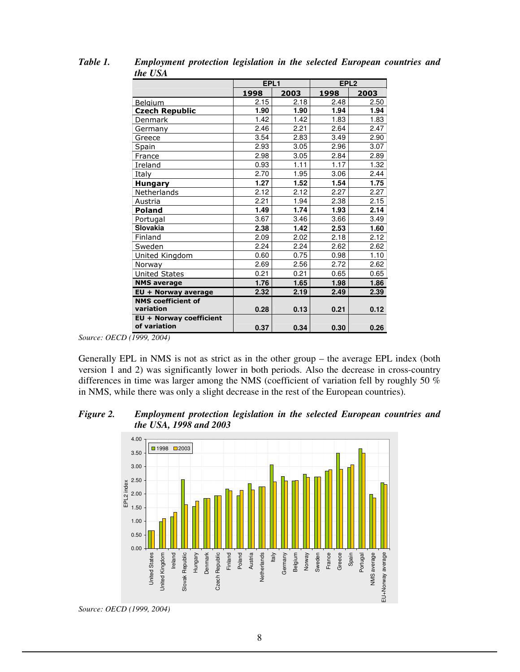|                                      | EPL1 |      | EPL <sub>2</sub> |      |  |
|--------------------------------------|------|------|------------------|------|--|
|                                      | 1998 | 2003 | 1998             | 2003 |  |
| Belgium                              | 2.15 | 2.18 | 2.48             | 2.50 |  |
| <b>Czech Republic</b>                | 1.90 | 1.90 | 1.94             | 1.94 |  |
| Denmark                              | 1.42 | 1.42 | 1.83             | 1.83 |  |
| Germany                              | 2.46 | 2.21 | 2.64             | 2.47 |  |
| Greece                               | 3.54 | 2.83 | 3.49             | 2.90 |  |
| Spain                                | 2.93 | 3.05 | 2.96             | 3.07 |  |
| France                               | 2.98 | 3.05 | 2.84             | 2.89 |  |
| Ireland                              | 0.93 | 1.11 | 1.17             | 1.32 |  |
| Italy                                | 2.70 | 1.95 | 3.06             | 2.44 |  |
| <b>Hungary</b>                       | 1.27 | 1.52 | 1.54             | 1.75 |  |
| Netherlands                          | 2.12 | 2.12 | 2.27             | 2.27 |  |
| Austria                              | 2.21 | 1.94 | 2.38             | 2.15 |  |
| <b>Poland</b>                        | 1.49 | 1.74 | 1.93             | 2.14 |  |
| Portugal                             | 3.67 | 3.46 | 3.66             | 3.49 |  |
| Slovakia                             | 2.38 | 1.42 | 2.53             | 1.60 |  |
| Finland                              | 2.09 | 2.02 | 2.18             | 2.12 |  |
| Sweden                               | 2.24 | 2.24 | 2.62             | 2.62 |  |
| United Kingdom                       | 0.60 | 0.75 | 0.98             | 1.10 |  |
| Norway                               | 2.69 | 2.56 | 2.72             | 2.62 |  |
| United States                        | 0.21 | 0.21 | 0.65             | 0.65 |  |
| <b>NMS average</b>                   | 1.76 | 1.65 | 1.98             | 1.86 |  |
| EU + Norway average                  | 2.32 | 2.19 | 2.49             | 2.39 |  |
| <b>NMS coefficient of</b>            |      |      |                  |      |  |
| variation                            | 0.28 | 0.13 | 0.21             | 0.12 |  |
| $\overline{EU}$ + Norway coefficient |      |      |                  |      |  |
| of variation                         | 0.37 | 0.34 | 0.30             | 0.26 |  |

*Table 1. Employment protection legislation in the selected European countries and the USA* 

*Source: OECD (1999, 2004)* 

Generally EPL in NMS is not as strict as in the other group – the average EPL index (both version 1 and 2) was significantly lower in both periods. Also the decrease in cross-country differences in time was larger among the NMS (coefficient of variation fell by roughly 50 % in NMS, while there was only a slight decrease in the rest of the European countries).

*Figure 2. Employment protection legislation in the selected European countries and the USA, 1998 and 2003* 



*Source: OECD (1999, 2004)*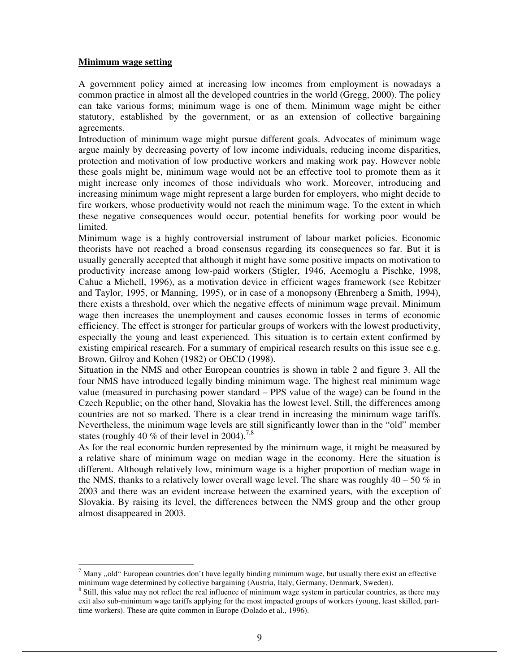## **Minimum wage setting**

-

A government policy aimed at increasing low incomes from employment is nowadays a common practice in almost all the developed countries in the world (Gregg, 2000). The policy can take various forms; minimum wage is one of them. Minimum wage might be either statutory, established by the government, or as an extension of collective bargaining agreements.

Introduction of minimum wage might pursue different goals. Advocates of minimum wage argue mainly by decreasing poverty of low income individuals, reducing income disparities, protection and motivation of low productive workers and making work pay. However noble these goals might be, minimum wage would not be an effective tool to promote them as it might increase only incomes of those individuals who work. Moreover, introducing and increasing minimum wage might represent a large burden for employers, who might decide to fire workers, whose productivity would not reach the minimum wage. To the extent in which these negative consequences would occur, potential benefits for working poor would be limited.

Minimum wage is a highly controversial instrument of labour market policies. Economic theorists have not reached a broad consensus regarding its consequences so far. But it is usually generally accepted that although it might have some positive impacts on motivation to productivity increase among low-paid workers (Stigler, 1946, Acemoglu a Pischke, 1998, Cahuc a Michell, 1996), as a motivation device in efficient wages framework (see Rebitzer and Taylor, 1995, or Manning, 1995), or in case of a monopsony (Ehrenberg a Smith, 1994), there exists a threshold, over which the negative effects of minimum wage prevail. Minimum wage then increases the unemployment and causes economic losses in terms of economic efficiency. The effect is stronger for particular groups of workers with the lowest productivity, especially the young and least experienced. This situation is to certain extent confirmed by existing empirical research. For a summary of empirical research results on this issue see e.g. Brown, Gilroy and Kohen (1982) or OECD (1998).

Situation in the NMS and other European countries is shown in table 2 and figure 3. All the four NMS have introduced legally binding minimum wage. The highest real minimum wage value (measured in purchasing power standard – PPS value of the wage) can be found in the Czech Republic; on the other hand, Slovakia has the lowest level. Still, the differences among countries are not so marked. There is a clear trend in increasing the minimum wage tariffs. Nevertheless, the minimum wage levels are still significantly lower than in the "old" member states (roughly 40 % of their level in 2004).<sup>7,8</sup>

As for the real economic burden represented by the minimum wage, it might be measured by a relative share of minimum wage on median wage in the economy. Here the situation is different. Although relatively low, minimum wage is a higher proportion of median wage in the NMS, thanks to a relatively lower overall wage level. The share was roughly  $40 - 50\%$  in 2003 and there was an evident increase between the examined years, with the exception of Slovakia. By raising its level, the differences between the NMS group and the other group almost disappeared in 2003.

 $^7$  Many "old" European countries don't have legally binding minimum wage, but usually there exist an effective minimum wage determined by collective bargaining (Austria, Italy, Germany, Denmark, Sweden).

<sup>&</sup>lt;sup>8</sup> Still, this value may not reflect the real influence of minimum wage system in particular countries, as there may exit also sub-minimum wage tariffs applying for the most impacted groups of workers (young, least skilled, parttime workers). These are quite common in Europe (Dolado et al., 1996).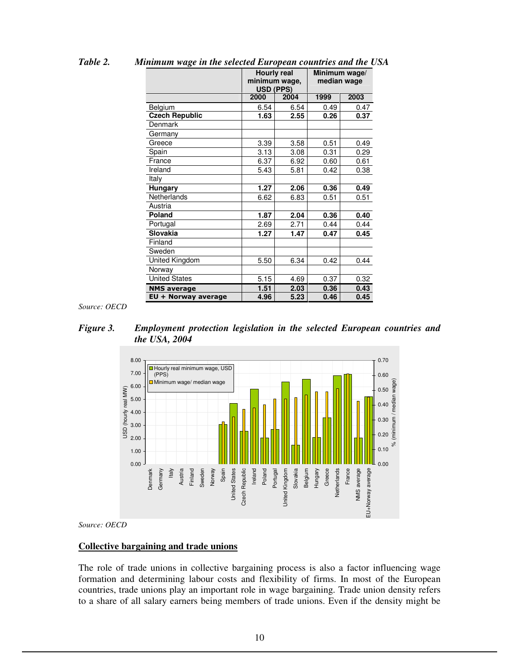|                       | <b>Hourly real</b><br>minimum wage,<br><b>USD (PPS)</b> |      | Minimum wage/<br>median wage |      |  |
|-----------------------|---------------------------------------------------------|------|------------------------------|------|--|
|                       | 2000                                                    | 2004 | 1999                         | 2003 |  |
| Belgium               | 6.54                                                    | 6.54 | 0.49                         | 0.47 |  |
| <b>Czech Republic</b> | 1.63                                                    | 2.55 | 0.26                         | 0.37 |  |
| Denmark               |                                                         |      |                              |      |  |
| Germany               |                                                         |      |                              |      |  |
| Greece                | 3.39                                                    | 3.58 | 0.51                         | 0.49 |  |
| Spain                 | 3.13                                                    | 3.08 | 0.31                         | 0.29 |  |
| France                | 6.37                                                    | 6.92 | 0.60                         | 0.61 |  |
| Ireland               | 5.43                                                    | 5.81 | 0.42                         | 0.38 |  |
| Italy                 |                                                         |      |                              |      |  |
| Hungary               | 1.27                                                    | 2.06 | 0.36                         | 0.49 |  |
| Netherlands           | 6.62                                                    | 6.83 | 0.51                         | 0.51 |  |
| Austria               |                                                         |      |                              |      |  |
| Poland                | 1.87                                                    | 2.04 | 0.36                         | 0.40 |  |
| Portugal              | 2.69                                                    | 2.71 | 0.44                         | 0.44 |  |
| <b>Slovakia</b>       | 1.27                                                    | 1.47 | 0.47                         | 0.45 |  |
| Finland               |                                                         |      |                              |      |  |
| Sweden                |                                                         |      |                              |      |  |
| United Kingdom        | 5.50                                                    | 6.34 | 0.42                         | 0.44 |  |
| Norway                |                                                         |      |                              |      |  |
| <b>United States</b>  | 5.15                                                    | 4.69 | 0.37                         | 0.32 |  |
| <b>NMS</b> average    | 1.51                                                    | 2.03 | 0.36                         | 0.43 |  |
| EU + Norway average   | 4.96                                                    | 5.23 | 0.46                         | 0.45 |  |

*Table 2. Minimum wage in the selected European countries and the USA*

*Source: OECD* 

*Figure 3. Employment protection legislation in the selected European countries and the USA, 2004* 



*Source: OECD* 

## **Collective bargaining and trade unions**

The role of trade unions in collective bargaining process is also a factor influencing wage formation and determining labour costs and flexibility of firms. In most of the European countries, trade unions play an important role in wage bargaining. Trade union density refers to a share of all salary earners being members of trade unions. Even if the density might be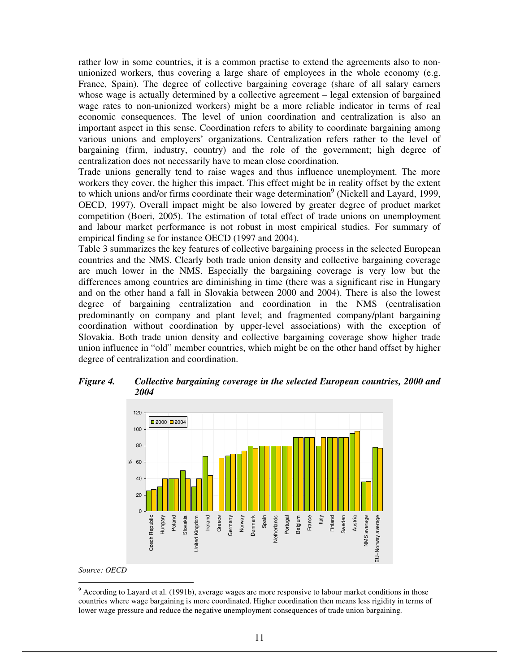rather low in some countries, it is a common practise to extend the agreements also to nonunionized workers, thus covering a large share of employees in the whole economy (e.g. France, Spain). The degree of collective bargaining coverage (share of all salary earners whose wage is actually determined by a collective agreement – legal extension of bargained wage rates to non-unionized workers) might be a more reliable indicator in terms of real economic consequences. The level of union coordination and centralization is also an important aspect in this sense. Coordination refers to ability to coordinate bargaining among various unions and employers' organizations. Centralization refers rather to the level of bargaining (firm, industry, country) and the role of the government; high degree of centralization does not necessarily have to mean close coordination.

Trade unions generally tend to raise wages and thus influence unemployment. The more workers they cover, the higher this impact. This effect might be in reality offset by the extent to which unions and/or firms coordinate their wage determination<sup>9</sup> (Nickell and Layard, 1999, OECD, 1997). Overall impact might be also lowered by greater degree of product market competition (Boeri, 2005). The estimation of total effect of trade unions on unemployment and labour market performance is not robust in most empirical studies. For summary of empirical finding se for instance OECD (1997 and 2004).

Table 3 summarizes the key features of collective bargaining process in the selected European countries and the NMS. Clearly both trade union density and collective bargaining coverage are much lower in the NMS. Especially the bargaining coverage is very low but the differences among countries are diminishing in time (there was a significant rise in Hungary and on the other hand a fall in Slovakia between 2000 and 2004). There is also the lowest degree of bargaining centralization and coordination in the NMS (centralisation predominantly on company and plant level; and fragmented company/plant bargaining coordination without coordination by upper-level associations) with the exception of Slovakia. Both trade union density and collective bargaining coverage show higher trade union influence in "old" member countries, which might be on the other hand offset by higher degree of centralization and coordination.



*Figure 4. Collective bargaining coverage in the selected European countries, 2000 and 2004* 

*Source: OECD* 

<sup>-</sup><sup>9</sup> According to Layard et al. (1991b), average wages are more responsive to labour market conditions in those countries where wage bargaining is more coordinated. Higher coordination then means less rigidity in terms of lower wage pressure and reduce the negative unemployment consequences of trade union bargaining.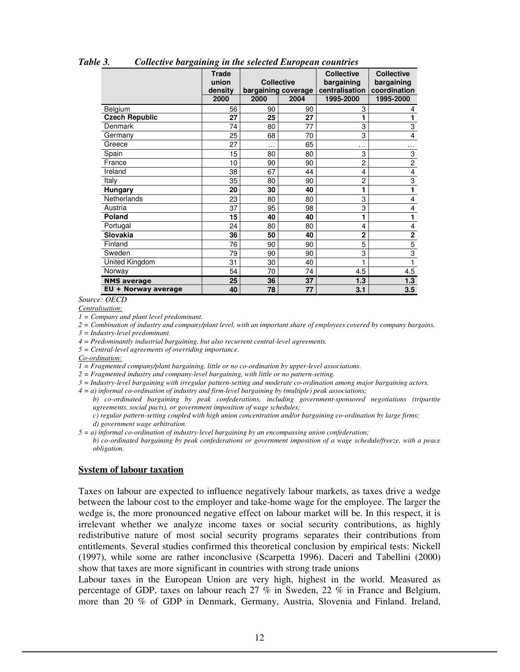|                       | <b>Trade</b><br>union<br>density<br>2000 | <b>Collective</b><br>2000 | bargaining coverage<br>2004 | <b>Collective</b><br>bargaining<br>centralisation<br>1995-2000 | <b>Collective</b><br>bargaining<br>coordination<br>1995-2000 |
|-----------------------|------------------------------------------|---------------------------|-----------------------------|----------------------------------------------------------------|--------------------------------------------------------------|
| Belgium               | 56                                       | 90                        | 90                          | 3                                                              | 4                                                            |
| <b>Czech Republic</b> | 27                                       | 25                        | 27                          |                                                                | 1                                                            |
| Denmark               | 74                                       | 80                        | 77                          | 3                                                              | 3                                                            |
| Germany               | 25                                       | 68                        | 70                          | 3                                                              | 4                                                            |
| Greece                | 27                                       | $\cdots$                  | 65                          | .                                                              | .                                                            |
| Spain                 | 15                                       | 80                        | 80                          | 3                                                              | 3                                                            |
| France                | 10                                       | 90                        | 90                          | $\overline{c}$                                                 | $\overline{2}$                                               |
| Ireland               | 38                                       | 67                        | 44                          | 4                                                              | $\overline{\mathbf{4}}$                                      |
| Italy                 | 35                                       | 80                        | 90                          | $\overline{2}$                                                 | $\overline{3}$                                               |
| <b>Hungary</b>        | 20                                       | 30                        | 40                          | 1                                                              | 1                                                            |
| Netherlands           | 23                                       | 80                        | 80                          | 3                                                              | 4                                                            |
| Austria               | 37                                       | 95                        | 98                          | 3                                                              | 4                                                            |
| <b>Poland</b>         | 15                                       | 40                        | 40                          |                                                                | 1                                                            |
| Portugal              | 24                                       | 80                        | 80                          | 4                                                              | 4                                                            |
| Slovakia              | 36                                       | 50                        | 40                          | $\overline{2}$                                                 | $\mathbf 2$                                                  |
| Finland               | 76                                       | 90                        | 90                          | 5                                                              | $\overline{5}$                                               |
| Sweden                | 79                                       | 90                        | 90                          | 3                                                              | $\overline{3}$                                               |
| United Kingdom        | 31                                       | 30                        | 40                          |                                                                |                                                              |
| Norway                | 54                                       | 70                        | 74                          | 4.5                                                            | 4.5                                                          |
| <b>NMS</b> average    | 25                                       | 36                        | 37                          | 1.3                                                            | 1.3                                                          |
| EU + Norway average   | 40                                       | 78                        | 77                          | 3.1                                                            | 3.5                                                          |

*Table 3. Collective bargaining in the selected European countries* 

*Source: OECD* 

*Centralisation:*

*1 = Company and plant level predominant.* 

*2 = Combination of industry and company/plant level, with an important share of employees covered by company bargains.* 

*3 = Industry-level predominant.* 

*4 = Predominantly industrial bargaining, but also recurrent central-level agreements.* 

*5 = Central-level agreements of overriding importance.* 

*Co-ordination:*

*1 = Fragmented company/plant bargaining, little or no co-ordination by upper-level associations.* 

*2 = Fragmented industry and company-level bargaining, with little or no pattern-setting.* 

*3 = Industry-level bargaining with irregular pattern-setting and moderate co-ordination among major bargaining actors.* 

*4 = a) informal co-ordination of industry and firm-level bargaining by (multiple) peak associations;* 

*b) co-ordinated bargaining by peak confederations, including government-sponsored negotiations (tripartite agreements, social pacts), or government imposition of wage schedules;* 

*c) regular pattern-setting coupled with high union concentration and/or bargaining co-ordination by large firms; d) government wage arbitration.* 

*5 = a) informal co-ordination of industry-level bargaining by an encompassing union confederation;* 

*b) co-ordinated bargaining by peak confederations or government imposition of a wage schedule/freeze, with a peace obligation.* 

#### **System of labour taxation**

Taxes on labour are expected to influence negatively labour markets, as taxes drive a wedge between the labour cost to the employer and take-home wage for the employee. The larger the wedge is, the more pronounced negative effect on labour market will be. In this respect, it is irrelevant whether we analyze income taxes or social security contributions, as highly redistributive nature of most social security programs separates their contributions from entitlements. Several studies confirmed this theoretical conclusion by empirical tests: Nickell (1997), while some are rather inconclusive (Scarpetta 1996). Daceri and Tabellini (2000) show that taxes are more significant in countries with strong trade unions

Labour taxes in the European Union are very high, highest in the world. Measured as percentage of GDP, taxes on labour reach 27 % in Sweden, 22 % in France and Belgium, more than 20 % of GDP in Denmark, Germany, Austria, Slovenia and Finland. Ireland,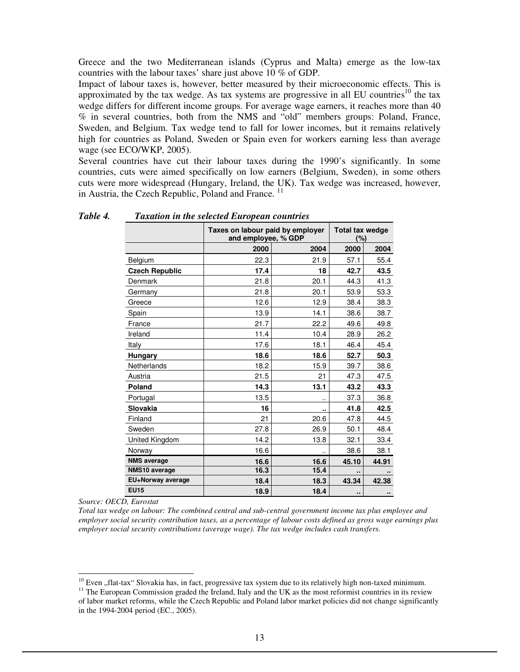Greece and the two Mediterranean islands (Cyprus and Malta) emerge as the low-tax countries with the labour taxes' share just above 10 % of GDP.

Impact of labour taxes is, however, better measured by their microeconomic effects. This is approximated by the tax wedge. As tax systems are progressive in all EU countries<sup>10</sup> the tax wedge differs for different income groups. For average wage earners, it reaches more than 40 % in several countries, both from the NMS and "old" members groups: Poland, France, Sweden, and Belgium. Tax wedge tend to fall for lower incomes, but it remains relatively high for countries as Poland, Sweden or Spain even for workers earning less than average wage (see ECO/WKP, 2005).

Several countries have cut their labour taxes during the 1990's significantly. In some countries, cuts were aimed specifically on low earners (Belgium, Sweden), in some others cuts were more widespread (Hungary, Ireland, the UK). Tax wedge was increased, however, in Austria, the Czech Republic, Poland and France.<sup>11</sup>

|                       | Taxes on labour paid by employer<br>and employee, % GDP | <b>Total tax wedge</b><br>(%) |       |                |
|-----------------------|---------------------------------------------------------|-------------------------------|-------|----------------|
|                       | 2000                                                    | 2004                          | 2000  | 2004           |
| Belgium               | 22.3                                                    | 21.9                          | 57.1  | 55.4           |
| <b>Czech Republic</b> | 17.4                                                    | 18                            | 42.7  | 43.5           |
| Denmark               | 21.8                                                    | 20.1                          | 44.3  | 41.3           |
| Germany               | 21.8                                                    | 20.1                          | 53.9  | 53.3           |
| Greece                | 12.6                                                    | 12.9                          | 38.4  | 38.3           |
| Spain                 | 13.9                                                    | 14.1                          | 38.6  | 38.7           |
| France                | 21.7                                                    | 22.2                          | 49.6  | 49.8           |
| Ireland               | 11.4                                                    | 10.4                          | 28.9  | 26.2           |
| Italy                 | 17.6                                                    | 18.1                          | 46.4  | 45.4           |
| Hungary               | 18.6                                                    | 18.6                          | 52.7  | 50.3           |
| Netherlands           | 18.2                                                    | 15.9                          | 39.7  | 38.6           |
| Austria               | 21.5                                                    | 21                            | 47.3  | 47.5           |
| Poland                | 14.3                                                    | 13.1                          | 43.2  | 43.3           |
| Portugal              | 13.5                                                    |                               | 37.3  | 36.8           |
| <b>Slovakia</b>       | 16                                                      |                               | 41.8  | 42.5           |
| Finland               | 21                                                      | 20.6                          | 47.8  | 44.5           |
| Sweden                | 27.8                                                    | 26.9                          | 50.1  | 48.4           |
| United Kingdom        | 14.2                                                    | 13.8                          | 32.1  | 33.4           |
| Norway                | 16.6                                                    |                               | 38.6  | 38.1           |
| <b>NMS</b> average    | 16.6                                                    | 16.6                          | 45.10 | 44.91          |
| NMS10 average         | 16.3                                                    | 15.4                          |       |                |
| EU+Norway average     | 18.4                                                    | 18.3                          | 43.34 | 42.38          |
| <b>EU15</b>           | 18.9                                                    | 18.4                          | ٠.    | $\blacksquare$ |

*Table 4. Taxation in the selected European countries* 

*Source: OECD, Eurostat* 

-

*Total tax wedge on labour: The combined central and sub-central government income tax plus employee and employer social security contribution taxes, as a percentage of labour costs defined as gross wage earnings plus employer social security contributions (average wage). The tax wedge includes cash transfers.* 

 $10$  Even  $\mu$ , flat-tax" Slovakia has, in fact, progressive tax system due to its relatively high non-taxed minimum.

 $<sup>11</sup>$  The European Commission graded the Ireland, Italy and the UK as the most reformist countries in its review</sup> of labor market reforms, while the Czech Republic and Poland labor market policies did not change significantly in the 1994-2004 period (EC., 2005).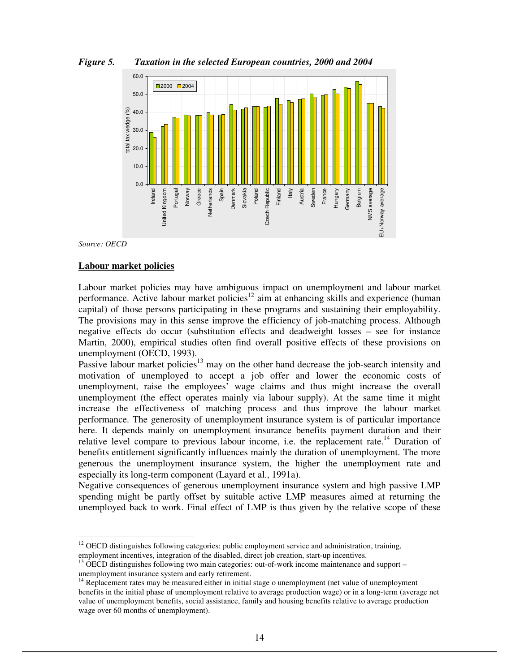

*Figure 5. Taxation in the selected European countries, 2000 and 2004* 

*Source: OECD* 

-

## **Labour market policies**

 $0<sup>0</sup>$ 

Ireland United Kingdom Portugal Norway Greece **Ietherlands** Spain Denmark Slovakia Poland

Labour market policies may have ambiguous impact on unemployment and labour market performance. Active labour market policies<sup>12</sup> aim at enhancing skills and experience (human capital) of those persons participating in these programs and sustaining their employability. The provisions may in this sense improve the efficiency of job-matching process. Although negative effects do occur (substitution effects and deadweight losses – see for instance Martin, 2000), empirical studies often find overall positive effects of these provisions on unemployment (OECD, 1993).

Czech Republic Finland Italy Austria Sweden France Hungary Germany Belgium NMS average EU+Norway average

EU+Norway average

Czech Republic

Passive labour market policies<sup>13</sup> may on the other hand decrease the job-search intensity and motivation of unemployed to accept a job offer and lower the economic costs of unemployment, raise the employees' wage claims and thus might increase the overall unemployment (the effect operates mainly via labour supply). At the same time it might increase the effectiveness of matching process and thus improve the labour market performance. The generosity of unemployment insurance system is of particular importance here. It depends mainly on unemployment insurance benefits payment duration and their relative level compare to previous labour income, i.e. the replacement rate.<sup>14</sup> Duration of benefits entitlement significantly influences mainly the duration of unemployment. The more generous the unemployment insurance system, the higher the unemployment rate and especially its long-term component (Layard et al., 1991a).

Negative consequences of generous unemployment insurance system and high passive LMP spending might be partly offset by suitable active LMP measures aimed at returning the unemployed back to work. Final effect of LMP is thus given by the relative scope of these

 $12$  OECD distinguishes following categories: public employment service and administration, training, employment incentives, integration of the disabled, direct job creation, start-up incentives.

<sup>13</sup> OECD distinguishes following two main categories: out-of-work income maintenance and support – unemployment insurance system and early retirement.

<sup>&</sup>lt;sup>14</sup> Replacement rates may be measured either in initial stage o unemployment (net value of unemployment benefits in the initial phase of unemployment relative to average production wage) or in a long-term (average net value of unemployment benefits, social assistance, family and housing benefits relative to average production wage over 60 months of unemployment).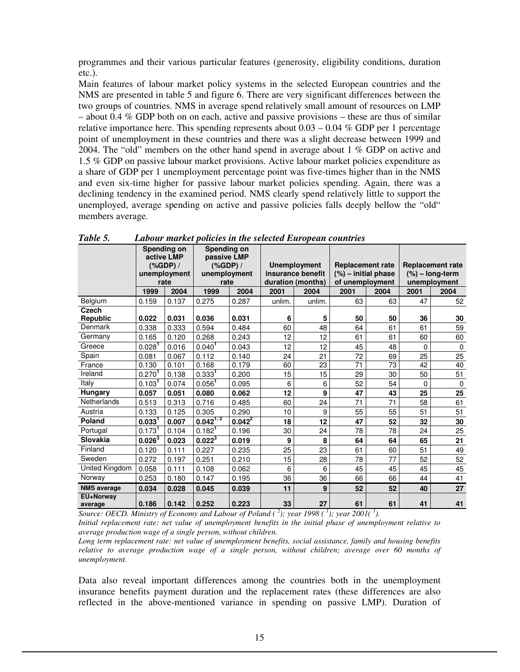programmes and their various particular features (generosity, eligibility conditions, duration etc.).

Main features of labour market policy systems in the selected European countries and the NMS are presented in table 5 and figure 6. There are very significant differences between the two groups of countries. NMS in average spend relatively small amount of resources on LMP – about 0.4  $\%$  GDP both on on each, active and passive provisions – these are thus of similar relative importance here. This spending represents about  $0.03 - 0.04$  % GDP per 1 percentage point of unemployment in these countries and there was a slight decrease between 1999 and 2004. The "old" members on the other hand spend in average about 1 % GDP on active and 1.5 % GDP on passive labour market provisions. Active labour market policies expenditure as a share of GDP per 1 unemployment percentage point was five-times higher than in the NMS and even six-time higher for passive labour market policies spending. Again, there was a declining tendency in the examined period. NMS clearly spend relatively little to support the unemployed, average spending on active and passive policies falls deeply bellow the "old" members average.

|                          |                    | <b>Spending on</b><br>active LMP<br>$(% )^{(1)}$ (%GDP) /<br>unemployment<br>rate | <b>Spending on</b><br>passive LMP<br>( %GDP) /<br>unemployment<br>rate |             | <b>Unemployment</b><br>insurance benefit<br>duration (months) |        | <b>Replacement rate</b><br>$(\%)$ – initial phase<br>of unemployment |      | <b>Replacement rate</b><br>$(\%)$ – long-term<br>unemployment |             |
|--------------------------|--------------------|-----------------------------------------------------------------------------------|------------------------------------------------------------------------|-------------|---------------------------------------------------------------|--------|----------------------------------------------------------------------|------|---------------------------------------------------------------|-------------|
|                          | 1999               | 2004                                                                              | 1999                                                                   | 2004        | 2001                                                          | 2004   | 2001                                                                 | 2004 | 2001                                                          | 2004        |
| Belgium                  | 0.159              | 0.137                                                                             | 0.275                                                                  | 0.287       | unlim.                                                        | unlim. | 63                                                                   | 63   | 47                                                            | 52          |
| <b>Czech</b><br>Republic | 0.022              | 0.031                                                                             | 0.036                                                                  | 0.031       | 6                                                             | 5      | 50                                                                   | 50   | 36                                                            | 30          |
| Denmark                  | 0.338              | 0.333                                                                             | 0.594                                                                  | 0.484       | 60                                                            | 48     | 64                                                                   | 61   | 61                                                            | 59          |
| Germany                  | 0.165              | 0.120                                                                             | 0.268                                                                  | 0.243       | 12                                                            | 12     | 61                                                                   | 61   | 60                                                            | 60          |
| Greece                   | 0.028 <sup>1</sup> | 0.016                                                                             | 0.040 <sup>1</sup>                                                     | 0.043       | 12                                                            | 12     | 45                                                                   | 48   | $\Omega$                                                      | $\mathbf 0$ |
| Spain                    | 0.081              | 0.067                                                                             | 0.112                                                                  | 0.140       | 24                                                            | 21     | 72                                                                   | 69   | 25                                                            | 25          |
| France                   | 0.130              | 0.101                                                                             | 0.168                                                                  | 0.179       | 60                                                            | 23     | 71                                                                   | 73   | 42                                                            | 40          |
| Ireland                  | 0.270 <sup>1</sup> | 0.138                                                                             | 0.333 <sup>1</sup>                                                     | 0.200       | 15                                                            | 15     | 29                                                                   | 30   | 50                                                            | 51          |
| Italy                    | 0.103 <sup>1</sup> | 0.074                                                                             | 0.056 <sup>1</sup>                                                     | 0.095       | 6                                                             | 6      | 52                                                                   | 54   | $\Omega$                                                      | $\mathbf 0$ |
| Hungary                  | 0.057              | 0.051                                                                             | 0.080                                                                  | 0.062       | 12                                                            | 9      | 47                                                                   | 43   | 25                                                            | 25          |
| Netherlands              | 0.513              | 0.313                                                                             | 0.716                                                                  | 0.485       | 60                                                            | 24     | 71                                                                   | 71   | 58                                                            | 61          |
| Austria                  | 0.133              | 0.125                                                                             | 0.305                                                                  | 0.290       | 10                                                            | 9      | 55                                                                   | 55   | 51                                                            | 51          |
| <b>Poland</b>            | 0.033 <sup>1</sup> | 0.007                                                                             | $0.042^{1,2}$                                                          | $0.042^{2}$ | 18                                                            | 12     | 47                                                                   | 52   | 32                                                            | 30          |
| Portugal                 | 0.173 <sup>1</sup> | 0.104                                                                             | 0.182 <sup>1</sup>                                                     | 0.196       | 30                                                            | 24     | 78                                                                   | 78   | 24                                                            | 25          |
| <b>Slovakia</b>          | $0.026^{3}$        | 0.023                                                                             | $0.022^{3}$                                                            | 0.019       | 9                                                             | 8      | 64                                                                   | 64   | 65                                                            | 21          |
| Finland                  | 0.120              | 0.111                                                                             | 0.227                                                                  | 0.235       | 25                                                            | 23     | 61                                                                   | 60   | 51                                                            | 49          |
| Sweden                   | 0.272              | 0.197                                                                             | 0.251                                                                  | 0.210       | 15                                                            | 28     | 78                                                                   | 77   | 52                                                            | 52          |
| United Kingdom           | 0.058              | 0.111                                                                             | 0.108                                                                  | 0.062       | 6                                                             | 6      | 45                                                                   | 45   | 45                                                            | 45          |
| Norway                   | 0.253              | 0.180                                                                             | 0.147                                                                  | 0.195       | 36                                                            | 36     | 66                                                                   | 66   | 44                                                            | 41          |
| <b>NMS average</b>       | 0.034              | 0.028                                                                             | 0.045                                                                  | 0.039       | 11                                                            | 9      | 52                                                                   | 52   | 40                                                            | 27          |
| EU+Norway<br>average     | 0.186              | 0.142                                                                             | 0.252                                                                  | 0.223       | 33                                                            | 27     | 61                                                                   | 61   | 41                                                            | 41          |

*Table 5. Labour market policies in the selected European countries* 

*Source: OECD. Ministry of Economy and Labour of Poland (<sup>2</sup>); year 1998 (<sup>1</sup>); year 2001(<sup>3</sup>). Initial replacement rate: net value of unemployment benefits in the initial phase of unemployment relative to average production wage of a single person, without children.* 

*Long term replacement rate: net value of unemployment benefits, social assistance, family and housing benefits relative to average production wage of a single person, without children; average over 60 months of unemployment.* 

Data also reveal important differences among the countries both in the unemployment insurance benefits payment duration and the replacement rates (these differences are also reflected in the above-mentioned variance in spending on passive LMP). Duration of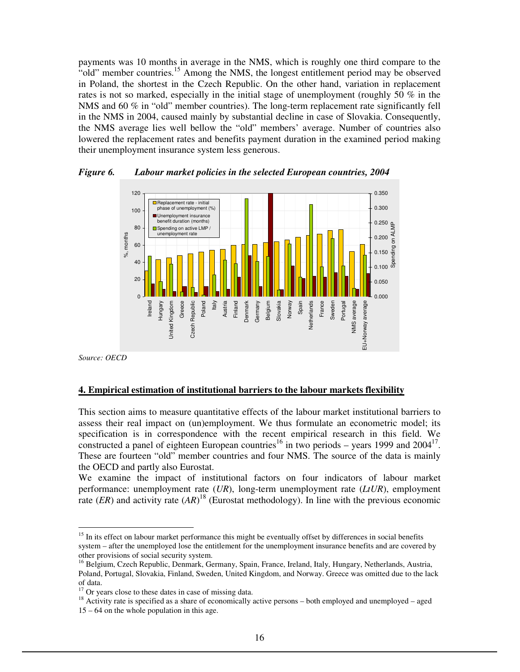payments was 10 months in average in the NMS, which is roughly one third compare to the "old" member countries.<sup>15</sup> Among the NMS, the longest entitlement period may be observed in Poland, the shortest in the Czech Republic. On the other hand, variation in replacement rates is not so marked, especially in the initial stage of unemployment (roughly 50 % in the NMS and 60 % in "old" member countries). The long-term replacement rate significantly fell in the NMS in 2004, caused mainly by substantial decline in case of Slovakia. Consequently, the NMS average lies well bellow the "old" members' average. Number of countries also lowered the replacement rates and benefits payment duration in the examined period making their unemployment insurance system less generous.



*Figure 6. Labour market policies in the selected European countries, 2004* 

*Source: OECD* 

-

#### **4. Empirical estimation of institutional barriers to the labour markets flexibility**

This section aims to measure quantitative effects of the labour market institutional barriers to assess their real impact on (un)employment. We thus formulate an econometric model; its specification is in correspondence with the recent empirical research in this field. We constructed a panel of eighteen European countries<sup>16</sup> in two periods – years 1999 and  $2004<sup>17</sup>$ . These are fourteen "old" member countries and four NMS. The source of the data is mainly the OECD and partly also Eurostat.

We examine the impact of institutional factors on four indicators of labour market performance: unemployment rate (*UR*), long-term unemployment rate (*LtUR*), employment rate  $(ER)$  and activity rate  $(AR)^{18}$  (Eurostat methodology). In line with the previous economic

<sup>&</sup>lt;sup>15</sup> In its effect on labour market performance this might be eventually offset by differences in social benefits system – after the unemployed lose the entitlement for the unemployment insurance benefits and are covered by other provisions of social security system.

<sup>&</sup>lt;sup>16</sup> Belgium, Czech Republic, Denmark, Germany, Spain, France, Ireland, Italy, Hungary, Netherlands, Austria, Poland, Portugal, Slovakia, Finland, Sweden, United Kingdom, and Norway. Greece was omitted due to the lack of data.

 $17$  Or years close to these dates in case of missing data.

 $18$  Activity rate is specified as a share of economically active persons – both employed and unemployed – aged 15 – 64 on the whole population in this age.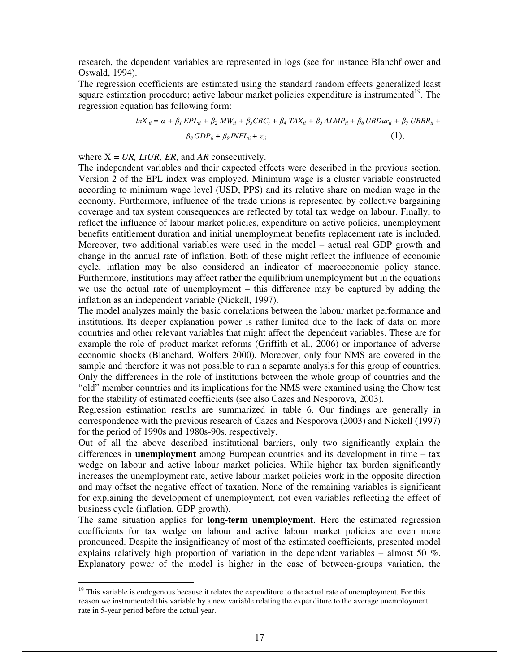research, the dependent variables are represented in logs (see for instance Blanchflower and Oswald, 1994).

The regression coefficients are estimated using the standard random effects generalized least square estimation procedure; active labour market policies expenditure is instrumented $19$ . The regression equation has following form:

$$
lnX_{ii} = \alpha + \beta_1 EPL_{ii} + \beta_2 MW_{ii} + \beta_3 CBC_i + \beta_4 TAX_{ii} + \beta_5 ALMP_{ii} + \beta_6 UBDurr_{ii} + \beta_7 UBRR_{ii} + \beta_8 GDP_{ii} + \beta_9 INFL_{ii} + \varepsilon_{ii}
$$
\n(1),

where  $X = UR$ , *LtUR, ER*, and *AR* consecutively.

The independent variables and their expected effects were described in the previous section. Version 2 of the EPL index was employed. Minimum wage is a cluster variable constructed according to minimum wage level (USD, PPS) and its relative share on median wage in the economy. Furthermore, influence of the trade unions is represented by collective bargaining coverage and tax system consequences are reflected by total tax wedge on labour. Finally, to reflect the influence of labour market policies, expenditure on active policies, unemployment benefits entitlement duration and initial unemployment benefits replacement rate is included. Moreover, two additional variables were used in the model – actual real GDP growth and change in the annual rate of inflation. Both of these might reflect the influence of economic cycle, inflation may be also considered an indicator of macroeconomic policy stance. Furthermore, institutions may affect rather the equilibrium unemployment but in the equations we use the actual rate of unemployment – this difference may be captured by adding the inflation as an independent variable (Nickell, 1997).

The model analyzes mainly the basic correlations between the labour market performance and institutions. Its deeper explanation power is rather limited due to the lack of data on more countries and other relevant variables that might affect the dependent variables. These are for example the role of product market reforms (Griffith et al., 2006) or importance of adverse economic shocks (Blanchard, Wolfers 2000). Moreover, only four NMS are covered in the sample and therefore it was not possible to run a separate analysis for this group of countries. Only the differences in the role of institutions between the whole group of countries and the "old" member countries and its implications for the NMS were examined using the Chow test for the stability of estimated coefficients (see also Cazes and Nesporova, 2003).

Regression estimation results are summarized in table 6. Our findings are generally in correspondence with the previous research of Cazes and Nesporova (2003) and Nickell (1997) for the period of 1990s and 1980s-90s, respectively.

Out of all the above described institutional barriers, only two significantly explain the differences in **unemployment** among European countries and its development in time – tax wedge on labour and active labour market policies. While higher tax burden significantly increases the unemployment rate, active labour market policies work in the opposite direction and may offset the negative effect of taxation. None of the remaining variables is significant for explaining the development of unemployment, not even variables reflecting the effect of business cycle (inflation, GDP growth).

The same situation applies for **long-term unemployment**. Here the estimated regression coefficients for tax wedge on labour and active labour market policies are even more pronounced. Despite the insignificancy of most of the estimated coefficients, presented model explains relatively high proportion of variation in the dependent variables – almost 50 %. Explanatory power of the model is higher in the case of between-groups variation, the

-

<sup>&</sup>lt;sup>19</sup> This variable is endogenous because it relates the expenditure to the actual rate of unemployment. For this reason we instrumented this variable by a new variable relating the expenditure to the average unemployment rate in 5-year period before the actual year.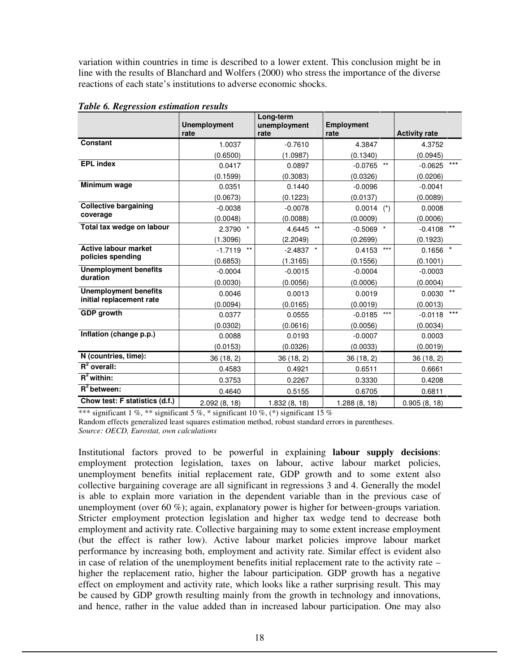variation within countries in time is described to a lower extent. This conclusion might be in line with the results of Blanchard and Wolfers (2000) who stress the importance of the diverse reactions of each state's institutions to adverse economic shocks.

|                                          | <b>Unemployment</b><br>rate | Long-term<br>unemployment<br>rate | Employment<br>rate  | <b>Activity rate</b> |
|------------------------------------------|-----------------------------|-----------------------------------|---------------------|----------------------|
| Constant                                 | 1.0037                      | $-0.7610$                         | 4.3847              | 4.3752               |
|                                          | (0.6500)                    | (1.0987)                          | (0.1340)            | (0.0945)             |
| <b>EPL</b> index                         | 0.0417                      | 0.0897                            | $***$<br>$-0.0765$  | $***$<br>$-0.0625$   |
|                                          | (0.1599)                    | (0.3083)                          | (0.0326)            | (0.0206)             |
| Minimum wage                             | 0.0351                      | 0.1440                            | $-0.0096$           | $-0.0041$            |
|                                          | (0.0673)                    | (0.1223)                          | (0.0137)            | (0.0089)             |
| <b>Collective bargaining</b>             | $-0.0038$                   | $-0.0078$                         | 0.0014<br>$(\star)$ | 0.0008               |
| coverage                                 | (0.0048)                    | (0.0088)                          | (0.0009)            | (0.0006)             |
| Total tax wedge on labour                | $\star$<br>2.3790           | $***$<br>4.6445                   | $-0.5069$ *         | $***$<br>$-0.4108$   |
|                                          | (1.3096)                    | (2.2049)                          | (0.2699)            | (0.1923)             |
| <b>Active labour market</b>              | $***$<br>$-1.7119$          | $-2.4837$ *                       | $***$<br>0.4153     | $^\star$<br>0.1656   |
| policies spending                        | (0.6853)                    | (1.3165)                          | (0.1556)            | (0.1001)             |
| <b>Unemployment benefits</b><br>duration | $-0.0004$                   | $-0.0015$                         | $-0.0004$           | $-0.0003$            |
|                                          | (0.0030)                    | (0.0056)                          | (0.0006)            | (0.0004)             |
| <b>Unemployment benefits</b>             | 0.0046                      | 0.0013                            | 0.0019              | $***$<br>0.0030      |
| initial replacement rate                 | (0.0094)                    | (0.0165)                          | (0.0019)            | (0.0013)             |
| <b>GDP</b> growth                        | 0.0377                      | 0.0555                            | $***$<br>$-0.0185$  | $***$<br>$-0.0118$   |
|                                          | (0.0302)                    | (0.0616)                          | (0.0056)            | (0.0034)             |
| Inflation (change p.p.)                  | 0.0088                      | 0.0193                            | $-0.0007$           | 0.0003               |
|                                          | (0.0153)                    | (0.0326)                          | (0.0033)            | (0.0019)             |
| N (countries, time):                     | 36(18, 2)                   | 36(18, 2)                         | 36(18, 2)           | 36 (18, 2)           |
| $R^2$ overall:                           | 0.4583                      | 0.4921                            | 0.6511              | 0.6661               |
| $R^2$ within:                            | 0.3753                      | 0.2267                            | 0.3330              | 0.4208               |
| $R^2$ between:                           | 0.4640                      | 0.5155                            | 0.6705              | 0.6811               |
| Chow test: F statistics (d.f.)           | 2.092(8, 18)                | 1.832(8, 18)                      | 1.288(8, 18)        | 0.905(8, 18)         |

*Table 6. Regression estimation results* 

\*\*\* significant 1 %, \*\* significant 5 %, \* significant 10 %, (\*) significant 15 % Random effects generalized least squares estimation method, robust standard errors in parentheses. *Source: OECD, Eurostat, own calculations* 

Institutional factors proved to be powerful in explaining **labour supply decisions**: employment protection legislation, taxes on labour, active labour market policies, unemployment benefits initial replacement rate, GDP growth and to some extent also collective bargaining coverage are all significant in regressions 3 and 4. Generally the model is able to explain more variation in the dependent variable than in the previous case of unemployment (over 60 %); again, explanatory power is higher for between-groups variation. Stricter employment protection legislation and higher tax wedge tend to decrease both employment and activity rate. Collective bargaining may to some extent increase employment (but the effect is rather low). Active labour market policies improve labour market performance by increasing both, employment and activity rate. Similar effect is evident also in case of relation of the unemployment benefits initial replacement rate to the activity rate – higher the replacement ratio, higher the labour participation. GDP growth has a negative effect on employment and activity rate, which looks like a rather surprising result. This may be caused by GDP growth resulting mainly from the growth in technology and innovations, and hence, rather in the value added than in increased labour participation. One may also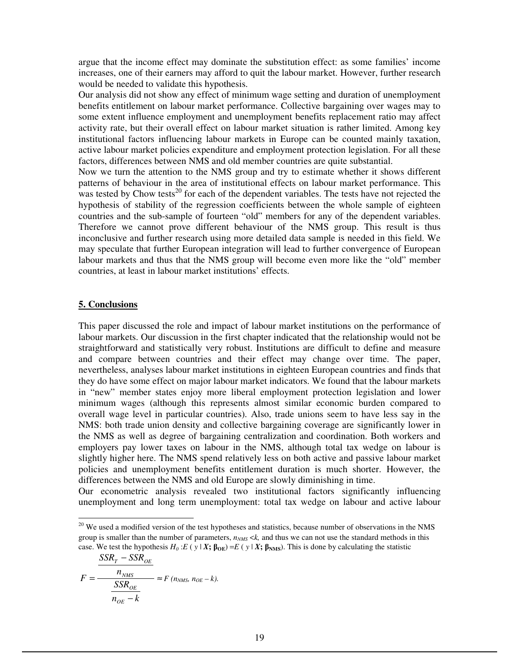argue that the income effect may dominate the substitution effect: as some families' income increases, one of their earners may afford to quit the labour market. However, further research would be needed to validate this hypothesis.

Our analysis did not show any effect of minimum wage setting and duration of unemployment benefits entitlement on labour market performance. Collective bargaining over wages may to some extent influence employment and unemployment benefits replacement ratio may affect activity rate, but their overall effect on labour market situation is rather limited. Among key institutional factors influencing labour markets in Europe can be counted mainly taxation, active labour market policies expenditure and employment protection legislation. For all these factors, differences between NMS and old member countries are quite substantial.

Now we turn the attention to the NMS group and try to estimate whether it shows different patterns of behaviour in the area of institutional effects on labour market performance. This was tested by Chow tests<sup>20</sup> for each of the dependent variables. The tests have not rejected the hypothesis of stability of the regression coefficients between the whole sample of eighteen countries and the sub-sample of fourteen "old" members for any of the dependent variables. Therefore we cannot prove different behaviour of the NMS group. This result is thus inconclusive and further research using more detailed data sample is needed in this field. We may speculate that further European integration will lead to further convergence of European labour markets and thus that the NMS group will become even more like the "old" member countries, at least in labour market institutions' effects.

#### **5. Conclusions**

This paper discussed the role and impact of labour market institutions on the performance of labour markets. Our discussion in the first chapter indicated that the relationship would not be straightforward and statistically very robust. Institutions are difficult to define and measure and compare between countries and their effect may change over time. The paper, nevertheless, analyses labour market institutions in eighteen European countries and finds that they do have some effect on major labour market indicators. We found that the labour markets in "new" member states enjoy more liberal employment protection legislation and lower minimum wages (although this represents almost similar economic burden compared to overall wage level in particular countries). Also, trade unions seem to have less say in the NMS: both trade union density and collective bargaining coverage are significantly lower in the NMS as well as degree of bargaining centralization and coordination. Both workers and employers pay lower taxes on labour in the NMS, although total tax wedge on labour is slightly higher here. The NMS spend relatively less on both active and passive labour market policies and unemployment benefits entitlement duration is much shorter. However, the differences between the NMS and old Europe are slowly diminishing in time.

Our econometric analysis revealed two institutional factors significantly influencing unemployment and long term unemployment: total tax wedge on labour and active labour

 $20$  We used a modified version of the test hypotheses and statistics, because number of observations in the NMS group is smaller than the number of parameters, *nNMS* <*k,* and thus we can not use the standard methods in this case. We test the hypothesis  $H_0: E(y|X; \beta_{OE}) = E(y|X; \beta_{NMS})$ . This is done by calculating the statistic

$$
F = \frac{SSR_T - SSR_{OE}}{n_{NMS}} \approx F (n_{NMS}, n_{OE} - k).
$$
  

$$
n_{OE} - k
$$

-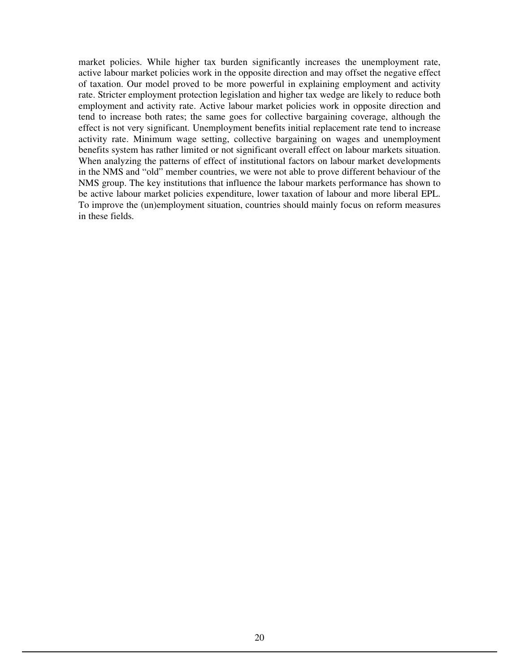market policies. While higher tax burden significantly increases the unemployment rate, active labour market policies work in the opposite direction and may offset the negative effect of taxation. Our model proved to be more powerful in explaining employment and activity rate. Stricter employment protection legislation and higher tax wedge are likely to reduce both employment and activity rate. Active labour market policies work in opposite direction and tend to increase both rates; the same goes for collective bargaining coverage, although the effect is not very significant. Unemployment benefits initial replacement rate tend to increase activity rate. Minimum wage setting, collective bargaining on wages and unemployment benefits system has rather limited or not significant overall effect on labour markets situation. When analyzing the patterns of effect of institutional factors on labour market developments in the NMS and "old" member countries, we were not able to prove different behaviour of the NMS group. The key institutions that influence the labour markets performance has shown to be active labour market policies expenditure, lower taxation of labour and more liberal EPL. To improve the (un)employment situation, countries should mainly focus on reform measures in these fields.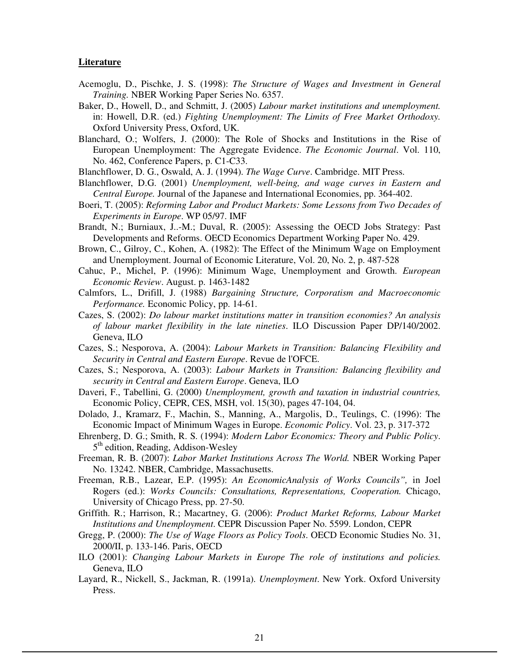#### **Literature**

- Acemoglu, D., Pischke, J. S. (1998): *The Structure of Wages and Investment in General Training.* NBER Working Paper Series No. 6357.
- Baker, D., Howell, D., and Schmitt, J. (2005) *Labour market institutions and unemployment.* in: Howell, D.R. (ed.) *Fighting Unemployment: The Limits of Free Market Orthodoxy.* Oxford University Press, Oxford, UK.
- Blanchard, O.; Wolfers, J. (2000): The Role of Shocks and Institutions in the Rise of European Unemployment: The Aggregate Evidence. *The Economic Journal*. Vol. 110, No. 462, Conference Papers, p. C1-C33.
- Blanchflower, D. G., Oswald, A. J. (1994). *The Wage Curve*. Cambridge. MIT Press.
- Blanchflower, D.G. (2001) *Unemployment, well-being, and wage curves in Eastern and Central Europe.* Journal of the Japanese and International Economies, pp. 364-402.
- Boeri, T. (2005): *Reforming Labor and Product Markets: Some Lessons from Two Decades of Experiments in Europe*. WP 05/97. IMF
- Brandt, N.; Burniaux, J..-M.; Duval, R. (2005): Assessing the OECD Jobs Strategy: Past Developments and Reforms. OECD Economics Department Working Paper No. 429.
- Brown, C., Gilroy, C., Kohen, A. (1982): The Effect of the Minimum Wage on Employment and Unemployment. Journal of Economic Literature, Vol. 20, No. 2, p. 487-528
- Cahuc, P., Michel, P. (1996): Minimum Wage, Unemployment and Growth. *European Economic Review*. August. p. 1463-1482
- Calmfors, L., Drifill, J. (1988) *Bargaining Structure, Corporatism and Macroeconomic Performance.* Economic Policy, pp. 14-61.
- Cazes, S. (2002): *Do labour market institutions matter in transition economies? An analysis of labour market flexibility in the late nineties*. ILO Discussion Paper DP/140/2002. Geneva, ILO
- Cazes, S.; Nesporova, A. (2004): *Labour Markets in Transition: Balancing Flexibility and Security in Central and Eastern Europe*. Revue de l'OFCE.
- Cazes, S.; Nesporova, A. (2003): *Labour Markets in Transition: Balancing flexibility and security in Central and Eastern Europe*. Geneva, ILO
- Daveri, F., Tabellini, G. (2000) *Unemployment, growth and taxation in industrial countries,* Economic Policy, CEPR, CES, MSH, vol. 15(30), pages 47-104, 04.
- Dolado, J., Kramarz, F., Machin, S., Manning, A., Margolis, D., Teulings, C. (1996): The Economic Impact of Minimum Wages in Europe. *Economic Policy*. Vol. 23, p. 317-372
- Ehrenberg, D. G.; Smith, R. S. (1994): *Modern Labor Economics: Theory and Public Policy*. 5<sup>th</sup> edition, Reading, Addison-Wesley
- Freeman, R. B. (2007): *Labor Market Institutions Across The World.* NBER Working Paper No. 13242. NBER, Cambridge, Massachusetts.
- Freeman, R.B., Lazear, E.P. (1995): *An EconomicAnalysis of Works Councils",* in Joel Rogers (ed.): *Works Councils: Consultations, Representations, Cooperation.* Chicago, University of Chicago Press, pp. 27-50.
- Griffith. R.; Harrison, R.; Macartney, G. (2006): *Product Market Reforms, Labour Market Institutions and Unemployment*. CEPR Discussion Paper No. 5599. London, CEPR
- Gregg, P. (2000): *The Use of Wage Floors as Policy Tools*. OECD Economic Studies No. 31, 2000/II, p. 133-146. Paris, OECD
- ILO (2001): *Changing Labour Markets in Europe The role of institutions and policies.*  Geneva, ILO
- Layard, R., Nickell, S., Jackman, R. (1991a). *Unemployment*. New York. Oxford University Press.